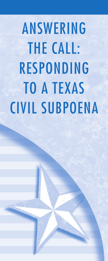ANSWERING THE CALL: RESPONDING TO A TEXAS CIVIL SUBPOENA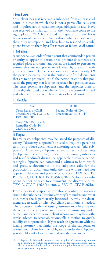# I. Introduction

Your client has just received a subpoena from a Texas civil court in a case in which she is not a party. She calls you and inquires about what her legal obligations are. Have you received a similar call? If so, then you have come to the right place. TYLA has created this guide to assist Texas lawyers in advising their clients about what subpoenas are, their duty to respond, and how best to respond to a subpoena issued to them by a Texas state or federal civil court. 1

# II. Definition

A subpoena is an order from a court that commands a person or entity to appear in person or to produce documents at a required place and time. Subpoenas are issued to persons or entities that are not parties to a lawsuit by the court with jurisdiction over: (1) the person or entity that is to testify; (2) the person or entity that is the custodian of the documents that are to be produced, or (3) the person or entity that possesses the property that is to be inspected in a particular case. The rules governing subpoenas, and the responses thereto, differ slightly based upon whether the case is criminal or civil and whether the case is in Texas state or federal court.

# III. The Rules

| STATF                                                                   | <b>FFDFRAI</b>                                           |
|-------------------------------------------------------------------------|----------------------------------------------------------|
| <b>Texas Rules of Civil</b><br>Procedure 176, 192-193,<br>199, 200, 205 | <b>Federal Rules of Civil</b><br>Procedure 26, 30-31, 45 |
| Texas Civil Practice &<br><b>Remedies Code SS</b><br>22.001, 22.002     |                                                          |

### IV. Purpose

In civil cases, subpoenas may be issued for purposes of discovery ("discovery subpoena") or used to require a person to testify or produce documents at a hearing or trial ("trial subpoena"). A discovery subpoena is used to secure documents ("subpoena duces tecum") or sworn testimony ("subpoena and testificandum") during the applicable discovery period. A single subpoena can command a witness to both testify and produce documents. If the subpoena calls for the production of documents only, then the witness need not appear at the time and place of production. TEX. R. CIV. P. 176.6(c); FED. R. CIV. P.  $45(c)(2)(a)$ . A discovery subpoena cannot be used to circumvent the discovery rules. TEX. R. CIV. P. 176.3(b), cmt. 2; FED. R. CIV. P. 26(b).

From a practical perspective, you should contact the attorney issuing the subpoena ("issuing attorney") to understand what documents she is particularly interested in, why the documents are needed, or why your client's testimony is needed. The discussion with the issuing attorney may help narrow the scope of the subpoena and thereby minimize any undue burden and expense to your client whom you may have otherwise advised to serve objections, file a motion to quash, modify, or for protection. If you reach an agreement with the issuing attorney that limits the scope of the subpoena or releases your client from her obligations under the subpoena, you should send a letter memorializing the agreement.

<sup>1</sup> This pamphlet is intended as an overview and guide to Texas attorneys and not as a substitute to reading the actual rules or case law regarding subpoenas. As always, attorneys should read and interpret the applicable rul ensure complete compliance.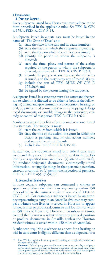# V. Requirements

### A. Form and Contents

Every subpoena issued by a Texas court must adhere to the form prescribed in the applicable rules. *See* TEX. R. CIV. P. 176.1, FED. R. CIV. P. 45.

A subpoena issued in a state case must be issued in the name of "The State of Texas" and:

- (a) state the style of the suit and its cause number;
- (b) state the court in which the subpoena is pending;
- (c) state the date on which the subpoena is issued;
- (d) identify the person to whom the subpoena is directed;
- (e) state the time, place, and nature of the action required by the person to whom the subpoena is directed, as provided in TEX. R. CIV. P. 176.2;
- (f) identify the party at whose instance the subpoena is issued, and the party's attorney of record, if any;
- (g) include the text of TEX. RULE OF CIV. P.  $176.8(a)$ <sup>2</sup>; and
- (h) be signed by the person issuing the subpoena.

A subpoena issued in a state case must also command the person to whom it is directed to do either or both of the following: (a) attend and give testimony at a deposition, hearing, or trial; (b) produce and permit inspection and copying of designated documents, or tangible things in the possession, custody, or control of that person. TEX. R. CIV. P. 176.2.

A subpoena issued in a federal suit is similar to one issued in a state case. The subpoena must:

- (a) state the court from which it is issued;
- (b) state the title of the action, the court in which the action is pending, and its civil-action number; and set out the text of the rule.
- (c) include the text of FED. R. CIV. 45.

In addition, the subpoena issued in a federal case must command the person to whom it is directed to do the following at a specified time and place: (a) attend and testify; (b) produce designated documents, electronically stored information, or tangible things in that person's possession, custody, or control, or (c) permit the inspection of premises. FED. R. CIV. P.  $45(a)(1)(A)(iii)$ .

### B. Geographical Limitations

In state court, a subpoena can commend a witness to appear or produce documents in any county within 150 miles of where the witness *resides* or *was served*. TEX. R. CIV. P. 176. For example, a subpoena issued by an attorney representing a party in an Amarillo civil case may compel a witness who lives or is served in Houston to appear for deposition or produce documents in Houston (or within 150 miles of Houston). However, that subpoena cannot compel the Houston resident witness to give a deposition or produce documents in Amarillo (unless the Houston resident witness is served within 150 miles of Amarillo).

A subpoena requiring a witness to appear for a hearing or trial in state court is slightly different than a subpoena for a

Rule 176.8(a) explains the consequences for failing to comply with a subpoena, and reads as follows:

**Contempt.** Failure by any person without adequate excuse to obey a subpoena<br>served upon that person may be deemed a contempt of the court from which<br>the subpoena is issued or a district court in the county in which the su is served, and may be punished by fine or confinement, or both.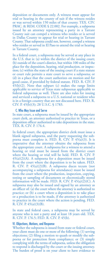deposition or documents only. A witness must appear for trial or hearing in the county of suit if the witness resides or was served within 150 miles of that county. TEX. CIV. PRAC. & REM. CODE § 22.002. For example, a subpoena issued by an attorney representing a party in a Tarrant County suit can compel a witness who resides or is served in Dallas County to appear for trial or hearing in Tarrant County.That subpoena could not, however, compel a witness who resides or served in El Paso to attend the trial or hearing in Tarrant County.

In a federal court, a subpoena may be served at any place in the U.S. that is: (a) within the district of the issuing court; (b) outside of the court's district, but within 100 miles of the place for the deposition, hearing, trial production, or inspection; (c) within the state of the issuing court if a state statute or court rule permits a state court to serve a subpoena; or (d) in a place that the court authorizes on motion and for good cause, if provided by federal statute. FED. R. CIV. P.  $45(b)(2)$ . Note that subpart (c) makes the range limits applicable to service of Texas state subpoenas applicable to federal subpoenas as well. There are also rules for issuing and serviced a subpoena to a U.S. national or resident who is in a foreign country that are not discussed here. FED. R. CIV. P. 45(b)(3); 28 U.S.C. § 1783.

#### C. Who May Issue and Serve

In state court, a subpoena must be issued by the appropriate court clerk, an attorney authorized to practice in Texas, or a deposition officer authorized to take depositions in the state. TEX. R. CIV. P. 176.4.

In federal court, the appropriate district clerk must issue a blank signed subpoena, and the party requesting the subpoena must complete it. FED.  $\hat{R}$ . CIV.  $\hat{P}$ . 45( $\hat{a}$ )(3). It is imperative that the attorney obtains the subpoena from the appropriate court. A subpoena for a witness to attend a hearing or trial must be issued from the district court where the hearing or trial will be held. FED. R. CIV. P.  $45(a)(2)(A)$ . A subpoena for a deposition must be issued from the court where the deposition is to be taken. FED. R. CIV. P. 45(a)(2)(B). A subpoena duces tecum (not accompanying a subpoena for attendance) must be issued from the court where the production, inspection, copying, testing or sampling of documents or electronically stored information will be made. FED. R. CIV. P. 45(a)(2)(C). A subpoena may also be issued and signed by an attorney as an officer of: (a) the court where the attorney is authorized to practice; or (b) a court where a deposition is to take place or a production is to be made, if the attorney is authorized to practice in the court where the action is pending. FED. R. CIV. P. 45(a)(3)(B).

In state and federal cases, a subpoena may be served by anyone who is not a party and at least 18 years old. TEX. R. CIV. P. 176.5; FED. R. CIV. P. 45(b).

# VI. Objections, Motions, and Response

Whether the subpoena is issued from state or federal court, your client must do one or more of the following: (1) serving objections; (2) filing a motion to quash or modify the subpoena or for protection from compliance; or (3) simply complying with the terms of subpoena, unless the obligation to respond is discharged by the court or the issuing attorney. The burden of proof is on your client to have evidence to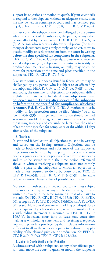support its objections or motion to quash. If your client fails to respond to the subpoena without an adequate excuse, then she may be held in contempt of court and may be fined, put in jail, or both.TEX. R. CIV. P. 176.8; FED. R. CIV. P. 45(e).

In state court, the subpoena may be challenged by the person who is the subject of the subpoena, the parties, or any other person affected by the subpoena. TEX. R. CIV. P. 176.6(d)- (f). A person who receives a discovery subpoena (for testimony or documents) may simply comply; or object, move to quash, modify, or seek protection from the court in writing **before the time specified for compliance in the subpoena**. TEX. R. CIV. P. 176.6. Conversely, a person who receives a trial subpoena (i.e., subpoena for a witness to testify or produce documents at a hearing or trial), may object or move for protection at the time and place specified in the subpoena. TEX. R. CIV. P. 176.6(f).

Like state court, a subpoena issued in federal court may be challenged by any person who is subject to or affected by the subpoena. FED. R. CIV. P.  $45(c)(2)(B)$ ,  $(3)(B)$ . In federal court, the timeline for objections to a subpoena differs slightly from state court. In federal court, **objections must be served within 14 days after service of the subpoena or before the time specified for compliance, whichever is sooner**. Fed. R. Civ. P. 45(c)(2)(B). A motion to quash, modify, or for protection must be filed "timely." Fed. R. Civ. P.  $45(c)((3)(B)$ . In general, the motion should be filed as soon as possible if an agreement cannot be reached with the issuing attorney, and certainly no later than the earlier of (a) the time specified for compliance or (b) within 14 days after service of the subpoena.

### A. Objections

In state and federal court, all objections must be in writing and served on the issuing attorney. Objections can be made to both the form and substance of the subpoena. Objections can be made by the person subject to the subpoena, a party, or any other person affected by the subpoena and must be served within the time period referenced above. A witness receiving a subpoena need not comply with the part of the subpoena to which an objection is made unless required to do so by court order. TEX. R. CIV. P. 176.6(d); FED. R. CIV. P. (c)(2)(B). The table below is a non-exhaustive list of possible objections.

Moreover, in both state and federal court, a witness subject to a subpoena may assert any applicable privilege to any written discovery in the same manner as that of a party to the suit. *See* TEX. R. CIV. P. 176.6, 193.3; TEX. R. EVID. 501 et seq; FED. R. CIV. P. 26(b)5, 45(d)(2); FED. R. EVID. 501 et seq. Note that if you are withholding privileged documents requested by a Texas state subpoena, you must include a withholding statement as required by TEX. R. CIV. P. 193.3(a). In federal court (and in Texas state court after making a withholding statement and receiving a request), you must provide a privilege log that includes information sufficient to allow the requesting party to evaluate the applicability of the claimed privilege or production. *See* FED. R. CIV. P. 26(b)(5)(A); TEX. R. CIV. P. 193.3(b).

### B. Motion to Quash, Modify, or for Protection

A witness served with a subpoena, or any other affected person, may move the court to quash or modify the subpoena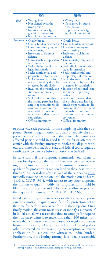|                  | <b>STATE</b>                                                                                                                                                                                                                                                                                                                                                                                                                                                                                                                                                                                                                                                            | <b>FEDERAL</b>                                                                                                                                                                                                                                                                                                                                                                                                                                                                                                                                                                                                                                                          |
|------------------|-------------------------------------------------------------------------------------------------------------------------------------------------------------------------------------------------------------------------------------------------------------------------------------------------------------------------------------------------------------------------------------------------------------------------------------------------------------------------------------------------------------------------------------------------------------------------------------------------------------------------------------------------------------------------|-------------------------------------------------------------------------------------------------------------------------------------------------------------------------------------------------------------------------------------------------------------------------------------------------------------------------------------------------------------------------------------------------------------------------------------------------------------------------------------------------------------------------------------------------------------------------------------------------------------------------------------------------------------------------|
| <b>Form</b>      | • Wrong date<br>• Not signed by autho-<br>rized person<br>• Improper service (geo-<br>graphical limitation)<br>· No witness fee attached                                                                                                                                                                                                                                                                                                                                                                                                                                                                                                                                | • Wrong date<br>• Not signed by autho-<br>rized person<br>• Improper service (geo-<br>graphical limitation)                                                                                                                                                                                                                                                                                                                                                                                                                                                                                                                                                             |
| <b>Substance</b> | • Overly broad<br>• Undue burden or expense<br>• Harassing, annoying, or<br>embarrassing<br>• Irrelevant to claim or<br>defense<br>• Unreasonably duplicative<br>or cumulative<br>• Seeks disclosure of privi-<br>leged information<br>• Seeks confidential and<br>proprietary information<br>• Seeks discovery in a form<br>not permitted by the rules<br>or agreed by stipulation<br>• Invasion of personal, con-<br>stitutional or property<br>rights<br>• Seeks information that<br>the issuing party has had<br>ample opportunity to dis-<br>cover on its own or that is<br>obtainable from some<br>other source that is more<br>convenient<br>• Official immunity | • Overly broad<br>• Undue burden or expense<br>· Harassing, annoying, or<br>embarrassing<br>• Irrelevant to claim or<br>defense<br>• Unreasonably duplicative<br>or cumulative<br>• Seeks disclosure of privi-<br>leged information<br>• Seeks confidential and<br>proprietary information<br>• Seeks discovery in a form<br>not permitted by the rules<br>or agreed by stipulation<br>• Invasion of personal, con-<br>stitutional or property<br>rights<br>• Seeks information that<br>the issuing party has had<br>ample opportunity to dis-<br>cover on its own or that is<br>obtainable from some<br>other source that is more<br>convenient<br>• Official immunity |

or otherwise seek protection from complying with the subpoena. Before filing a motion to quash or modify the subpoena or seek protection from the court, the witness or affected person should in good faith, confer or attempt to confer with the issuing attorney to resolve the dispute without court intervention. Both state and federal courts require a certificate of conference before a motion can be filed. 3

In state court, if the subpoena commands your client to appear for deposition, then your client may consider objecting to the time and place of the deposition in a motion to quash or for protection. A motion filed on these bases within three (3) business days after service of the subpoena automatically stays the deposition until the motion can be heard. TEX. R. CIV. P. 199.4. With respect to any other subpoena, the motion to quash, modify, or for protection should be filed as soon as possible and before the deadline to produce the requested discovery. TEX. R. CIV. P. 192.6(a).

In federal court, a person subject to, or affected by, a subpoena can file a motion to quash, modify, or for protection before the time for performance as set forth in the subpoena. On a timely motion, the court must quash or modify a subpoena if it: (a) fails to allow a reasonable time to comply; (b) requires the non-party witness to travel more than 100 miles from where that witness resides, is employed, or regularly transacts business in person; (c) requires disclosure of privileged or other protected matter (assuming no exception or waiver applies); or (d) subjects the witness to undue burden. Furthermore, if the issuing attorney fails to take reasonable

<sup>3</sup> This requirement is often articulated in a court's local rules. Be sure to review any applicable local rules when responding or serving a subpoena.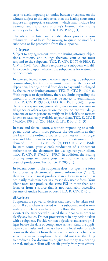steps to avoid imposing an undue burden or expense on the witness subject to the subpoena, then the issuing court must impose an appropriate sanction—which may include lost earnings and reasonable attorney's fees—on the issuing attorney or her client. FED. R. CIV. P. 45(c)(1).

The objections listed in the table above provide a nonexhaustive list of bases for moving to quash or modify a subpoena or for protection from the subpoena.

#### C. Response

Subject to any agreements with the issuing attorney, objections, motions, and rulings thereon, your client must respond to the subpoena. TEX. R. CIV. P. 176.6; FED. R. CIV. P. 45(d). Your client's response to a subpoena will differ depending upon whether the subpoena is for testimony or documents.

In state and federal court, a witness responding to a subpoena commanding her testimony must remain at the place of deposition, hearing, or trial from day to day until discharged by the court or issuing attorney. TEX. R. CIV. P. 176.6(a). With respect to depositions, there are limits regarding the amount of time your client may be subject to examination. TEX. R. CIV. P. 199.5(c); FED. R. CIV. P. 30(d). If your client is a corporation, partnership, association, governmental agency, or other organization, then your client must designate one or more persons to testify on its behalf as to matters known or reasonably available to your client.TEX. R. CIV. P. 176.6(b), 199.2(b), 200; FED. R. CIV. P. 30(b)(6), 31.

In state and federal court, a witness responding to a subpoena duces tecum must produce the documents as they are kept in the ordinary course of business or must organize and label them to correspond to the categories in the demand. TEX. R. CIV. P. 176.6(c); FED. R. CIV. P. 45(d). In state court, your client's production of a document authenticates the document for use against your client. TEX. R. CIV. P. 176.6(c), 193.7. In addition, the issuing attorney must reimburse your client for the reasonable costs of production. Tex. R. Civ. P. 205.3(f).

In federal court, if the subpoena does not specify a form for producing electronically stored information ("ESI"), then your client must produce it in a form in which it is ordinarily maintained or in a reasonably usable form. Your client need not produce the same ESI in more than one form or from a source that is not reasonably accessible because of undue burden or cost. FED. R. CIV. P. 45(d).

## VII. Conclusion

Subpoenas are powerful devices that need to be taken seriously. If your client is served with a subpoena, read it over with your client carefully and follow the instructions. Contact the attorney who issued the subpoena in order to clarify any issues. Do not procrastinate in any action taken with a subpoena. Provide written objections and assert privileges before the date of compliance arrives. Read the applicable court rules and always check the local rules of each court in the district from the where the subpoena has been served to ensure compliance. It should not take that long to produce a few documents or give testimony at a hearing or trial, and your client will benefit greatly from your efforts.